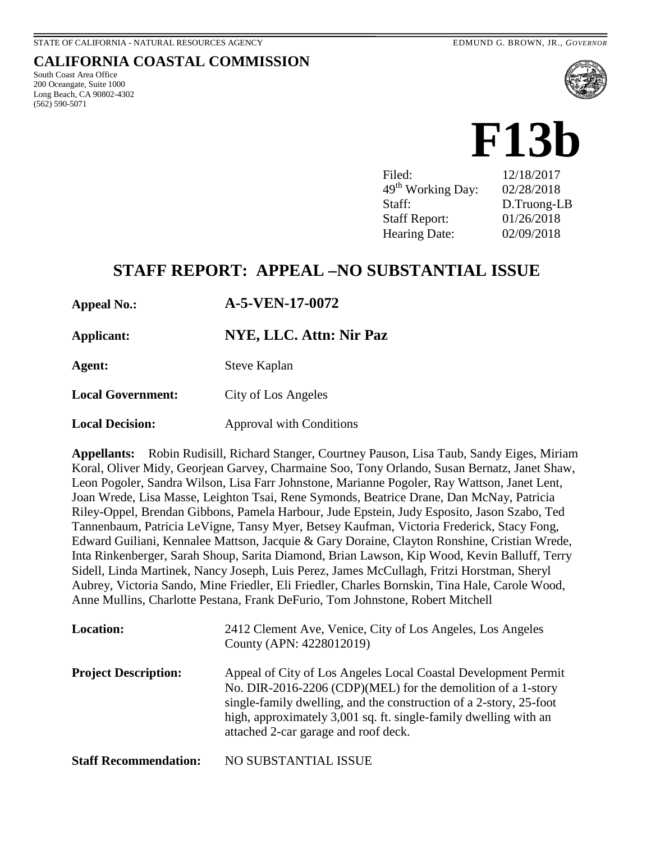South Coast Area Office 200 Oceangate, Suite 1000 Long Beach, CA 90802-4302

(562) 590-5071

**CALIFORNIA COASTAL COMMISSION**

# **F13b**

Filed: 12/18/2017 49th Working Day: 02/28/2018 Staff: D.Truong-LB Staff Report: 01/26/2018 Hearing Date: 02/09/2018

# **STAFF REPORT: APPEAL –NO SUBSTANTIAL ISSUE**

**Appeal No.: A-5-VEN-17-0072** 

**Applicant: NYE, LLC. Attn: Nir Paz**

**Agent:** Steve Kaplan

**Local Government:** City of Los Angeles

**Local Decision:** Approval with Conditions

**Appellants:** Robin Rudisill, Richard Stanger, Courtney Pauson, Lisa Taub, Sandy Eiges, Miriam Koral, Oliver Midy, Georjean Garvey, Charmaine Soo, Tony Orlando, Susan Bernatz, Janet Shaw, Leon Pogoler, Sandra Wilson, Lisa Farr Johnstone, Marianne Pogoler, Ray Wattson, Janet Lent, Joan Wrede, Lisa Masse, Leighton Tsai, Rene Symonds, Beatrice Drane, Dan McNay, Patricia Riley-Oppel, Brendan Gibbons, Pamela Harbour, Jude Epstein, Judy Esposito, Jason Szabo, Ted Tannenbaum, Patricia LeVigne, Tansy Myer, Betsey Kaufman, Victoria Frederick, Stacy Fong, Edward Guiliani, Kennalee Mattson, Jacquie & Gary Doraine, Clayton Ronshine, Cristian Wrede, Inta Rinkenberger, Sarah Shoup, Sarita Diamond, Brian Lawson, Kip Wood, Kevin Balluff, Terry Sidell, Linda Martinek, Nancy Joseph, Luis Perez, James McCullagh, Fritzi Horstman, Sheryl Aubrey, Victoria Sando, Mine Friedler, Eli Friedler, Charles Bornskin, Tina Hale, Carole Wood, Anne Mullins, Charlotte Pestana, Frank DeFurio, Tom Johnstone, Robert Mitchell

| <b>Location:</b>             | 2412 Clement Ave, Venice, City of Los Angeles, Los Angeles<br>County (APN: 4228012019)                                                                                                                                                                                                                           |
|------------------------------|------------------------------------------------------------------------------------------------------------------------------------------------------------------------------------------------------------------------------------------------------------------------------------------------------------------|
| <b>Project Description:</b>  | Appeal of City of Los Angeles Local Coastal Development Permit<br>No. DIR-2016-2206 (CDP)(MEL) for the demolition of a 1-story<br>single-family dwelling, and the construction of a 2-story, 25-foot<br>high, approximately 3,001 sq. ft. single-family dwelling with an<br>attached 2-car garage and roof deck. |
| <b>Staff Recommendation:</b> | NO SUBSTANTIAL ISSUE                                                                                                                                                                                                                                                                                             |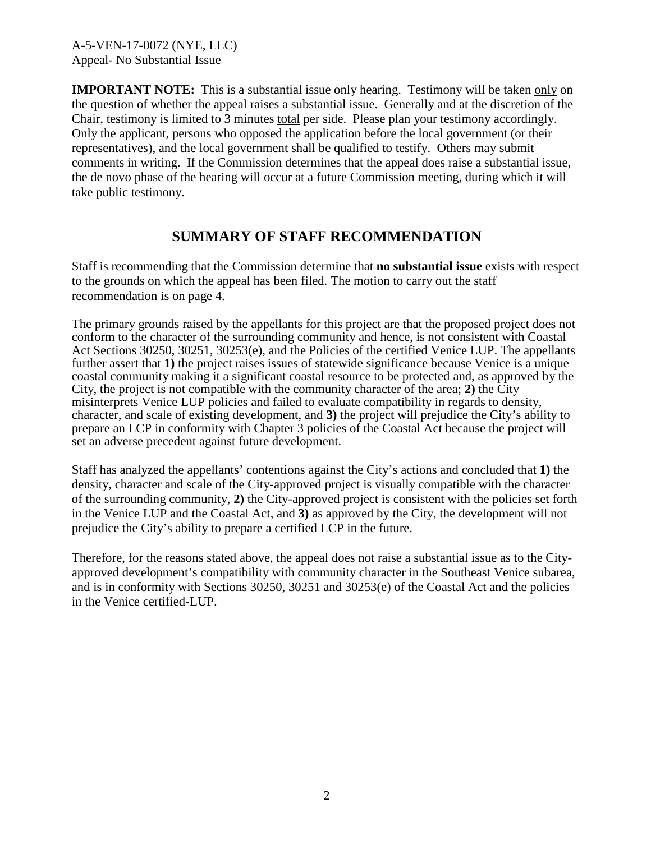**IMPORTANT NOTE:** This is a substantial issue only hearing. Testimony will be taken only on the question of whether the appeal raises a substantial issue. Generally and at the discretion of the Chair, testimony is limited to 3 minutes total per side. Please plan your testimony accordingly. Only the applicant, persons who opposed the application before the local government (or their representatives), and the local government shall be qualified to testify. Others may submit comments in writing. If the Commission determines that the appeal does raise a substantial issue, the de novo phase of the hearing will occur at a future Commission meeting, during which it will take public testimony.

# **SUMMARY OF STAFF RECOMMENDATION**

Staff is recommending that the Commission determine that **no substantial issue** exists with respect to the grounds on which the appeal has been filed. The motion to carry out the staff recommendation is on page 4.

The primary grounds raised by the appellants for this project are that the proposed project does not conform to the character of the surrounding community and hence, is not consistent with Coastal Act Sections 30250, 30251, 30253(e), and the Policies of the certified Venice LUP. The appellants further assert that **1)** the project raises issues of statewide significance because Venice is a unique coastal community making it a significant coastal resource to be protected and, as approved by the City, the project is not compatible with the community character of the area; **2)** the City misinterprets Venice LUP policies and failed to evaluate compatibility in regards to density, character, and scale of existing development, and **3)** the project will prejudice the City's ability to prepare an LCP in conformity with Chapter 3 policies of the Coastal Act because the project will set an adverse precedent against future development.

Staff has analyzed the appellants' contentions against the City's actions and concluded that **1)** the density, character and scale of the City-approved project is visually compatible with the character of the surrounding community, **2)** the City-approved project is consistent with the policies set forth in the Venice LUP and the Coastal Act, and **3)** as approved by the City, the development will not prejudice the City's ability to prepare a certified LCP in the future.

Therefore, for the reasons stated above, the appeal does not raise a substantial issue as to the Cityapproved development's compatibility with community character in the Southeast Venice subarea, and is in conformity with Sections 30250, 30251 and 30253(e) of the Coastal Act and the policies in the Venice certified-LUP.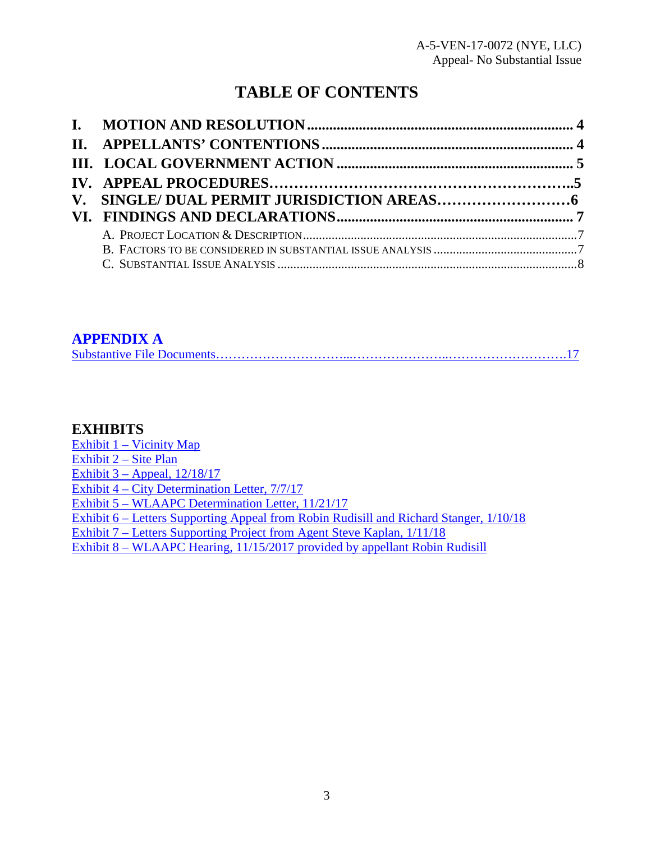# **TABLE OF CONTENTS**

### **[APPENDIX A](#page-16-0)**

# **EXHIBITS**

[Exhibit 1 – Vicinity Map](https://documents.coastal.ca.gov/reports/2018/2/F13b/F13b-2-2018-exhibits.pdf) [Exhibit 2 – Site Plan](https://documents.coastal.ca.gov/reports/2018/2/F13b/F13b-2-2018-exhibits.pdf) [Exhibit 3 – Appeal, 12/18/17](https://documents.coastal.ca.gov/reports/2018/2/F13b/F13b-2-2018-exhibits.pdf)  Exhibit 4 – City [Determination Letter, 7/7/17](https://documents.coastal.ca.gov/reports/2018/2/F13b/F13b-2-2018-exhibits.pdf)  [Exhibit 5 – WLAAPC Determination Letter, 11/21/17](https://documents.coastal.ca.gov/reports/2018/2/F13b/F13b-2-2018-exhibits.pdf)  [Exhibit 6 – Letters Supporting Appeal from Robin Rudisill and Richard Stanger, 1/10/18](https://documents.coastal.ca.gov/reports/2018/2/F13b/F13b-2-2018-exhibits.pdf)  [Exhibit 7 – Letters Supporting Project from Agent Steve Kaplan, 1/11/18](https://documents.coastal.ca.gov/reports/2018/2/F13b/F13b-2-2018-exhibits.pdf)  [Exhibit 8 – WLAAPC Hearing, 11/15/2017 provided by appellant Robin Rudisill](https://documents.coastal.ca.gov/reports/2018/2/F13b/F13b-2-2018-exhibits.pdf)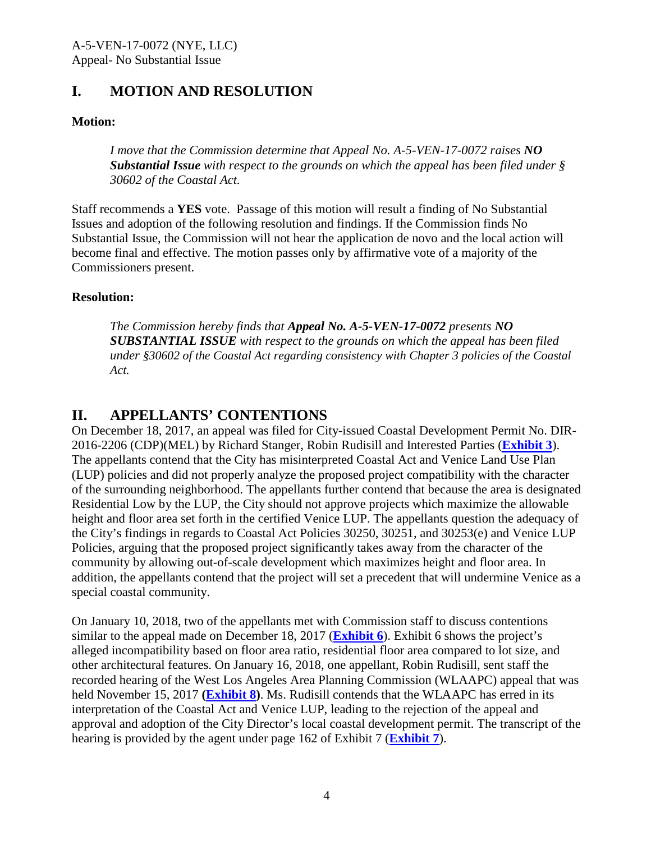# <span id="page-3-0"></span>**I. MOTION AND RESOLUTION**

#### **Motion:**

*I move that the Commission determine that Appeal No. A-5-VEN-17-0072 raises NO Substantial Issue with respect to the grounds on which the appeal has been filed under § 30602 of the Coastal Act.* 

Staff recommends a **YES** vote. Passage of this motion will result a finding of No Substantial Issues and adoption of the following resolution and findings. If the Commission finds No Substantial Issue, the Commission will not hear the application de novo and the local action will become final and effective. The motion passes only by affirmative vote of a majority of the Commissioners present.

#### **Resolution:**

*The Commission hereby finds that Appeal No. A-5-VEN-17-0072 presents NO SUBSTANTIAL ISSUE with respect to the grounds on which the appeal has been filed under §30602 of the Coastal Act regarding consistency with Chapter 3 policies of the Coastal Act.* 

# <span id="page-3-1"></span>**II. APPELLANTS' CONTENTIONS**

On December 18, 2017, an appeal was filed for City-issued Coastal Development Permit No. DIR-2016-2206 (CDP)(MEL) by Richard Stanger, Robin Rudisill and Interested Parties (**[Exhibit 3](https://documents.coastal.ca.gov/reports/2018/2/F13b/F13b-2-2018-exhibits.pdf)**). The appellants contend that the City has misinterpreted Coastal Act and Venice Land Use Plan (LUP) policies and did not properly analyze the proposed project compatibility with the character of the surrounding neighborhood. The appellants further contend that because the area is designated Residential Low by the LUP, the City should not approve projects which maximize the allowable height and floor area set forth in the certified Venice LUP. The appellants question the adequacy of the City's findings in regards to Coastal Act Policies 30250, 30251, and 30253(e) and Venice LUP Policies, arguing that the proposed project significantly takes away from the character of the community by allowing out-of-scale development which maximizes height and floor area. In addition, the appellants contend that the project will set a precedent that will undermine Venice as a special coastal community.

On January 10, 2018, two of the appellants met with Commission staff to discuss contentions similar to the appeal made on December 18, 2017 (**[Exhibit 6](https://documents.coastal.ca.gov/reports/2018/2/F13b/F13b-2-2018-exhibits.pdf)**). Exhibit 6 shows the project's alleged incompatibility based on floor area ratio, residential floor area compared to lot size, and other architectural features. On January 16, 2018, one appellant, Robin Rudisill, sent staff the recorded hearing of the West Los Angeles Area Planning Commission (WLAAPC) appeal that was held November 15, 2017 **[\(Exhibit 8\)](https://documents.coastal.ca.gov/reports/2018/2/F13b/F13b-2-2018-exhibits.pdf)**. Ms. Rudisill contends that the WLAAPC has erred in its interpretation of the Coastal Act and Venice LUP, leading to the rejection of the appeal and approval and adoption of the City Director's local coastal development permit. The transcript of the hearing is provided by the agent under page 162 of Exhibit 7 (**[Exhibit 7](https://documents.coastal.ca.gov/reports/2018/2/F13b/F13b-2-2018-exhibits.pdf)**).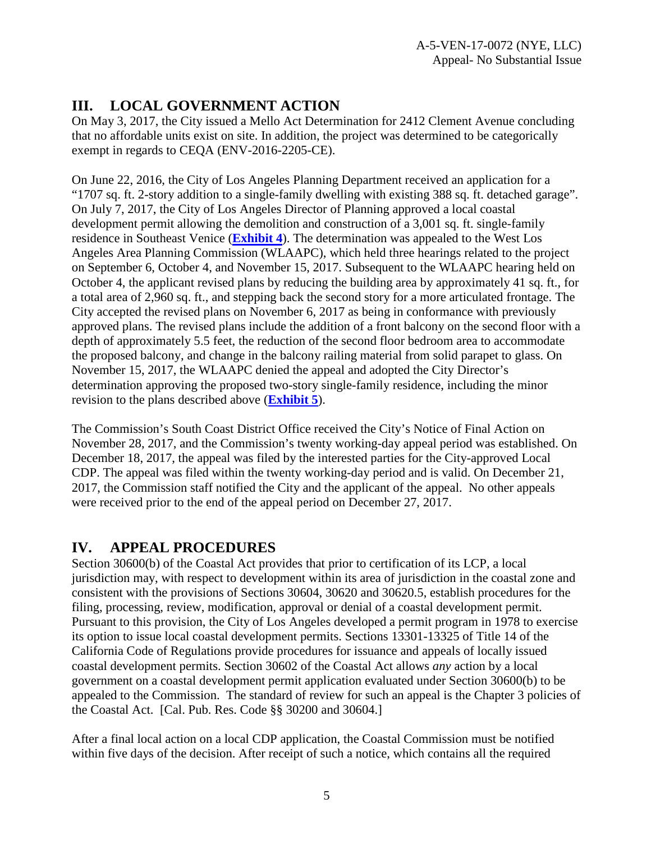# <span id="page-4-0"></span>**III. LOCAL GOVERNMENT ACTION**

On May 3, 2017, the City issued a Mello Act Determination for 2412 Clement Avenue concluding that no affordable units exist on site. In addition, the project was determined to be categorically exempt in regards to CEQA (ENV-2016-2205-CE).

On June 22, 2016, the City of Los Angeles Planning Department received an application for a "1707 sq. ft. 2-story addition to a single-family dwelling with existing 388 sq. ft. detached garage". On July 7, 2017, the City of Los Angeles Director of Planning approved a local coastal development permit allowing the demolition and construction of a 3,001 sq. ft. single-family residence in Southeast Venice (**[Exhibit 4](https://documents.coastal.ca.gov/reports/2018/2/F13b/F13b-2-2018-exhibits.pdf)**). The determination was appealed to the West Los Angeles Area Planning Commission (WLAAPC), which held three hearings related to the project on September 6, October 4, and November 15, 2017. Subsequent to the WLAAPC hearing held on October 4, the applicant revised plans by reducing the building area by approximately 41 sq. ft., for a total area of 2,960 sq. ft., and stepping back the second story for a more articulated frontage. The City accepted the revised plans on November 6, 2017 as being in conformance with previously approved plans. The revised plans include the addition of a front balcony on the second floor with a depth of approximately 5.5 feet, the reduction of the second floor bedroom area to accommodate the proposed balcony, and change in the balcony railing material from solid parapet to glass. On November 15, 2017, the WLAAPC denied the appeal and adopted the City Director's determination approving the proposed two-story single-family residence, including the minor revision to the plans described above (**[Exhibit 5](https://documents.coastal.ca.gov/reports/2018/2/F13b/F13b-2-2018-exhibits.pdf)**).

The Commission's South Coast District Office received the City's Notice of Final Action on November 28, 2017, and the Commission's twenty working-day appeal period was established. On December 18, 2017, the appeal was filed by the interested parties for the City-approved Local CDP. The appeal was filed within the twenty working-day period and is valid. On December 21, 2017, the Commission staff notified the City and the applicant of the appeal. No other appeals were received prior to the end of the appeal period on December 27, 2017.

# <span id="page-4-1"></span>**IV. APPEAL PROCEDURES**

Section 30600(b) of the Coastal Act provides that prior to certification of its LCP, a local jurisdiction may, with respect to development within its area of jurisdiction in the coastal zone and consistent with the provisions of Sections 30604, 30620 and 30620.5, establish procedures for the filing, processing, review, modification, approval or denial of a coastal development permit. Pursuant to this provision, the City of Los Angeles developed a permit program in 1978 to exercise its option to issue local coastal development permits. Sections 13301-13325 of Title 14 of the California Code of Regulations provide procedures for issuance and appeals of locally issued coastal development permits. Section 30602 of the Coastal Act allows *any* action by a local government on a coastal development permit application evaluated under Section 30600(b) to be appealed to the Commission. The standard of review for such an appeal is the Chapter 3 policies of the Coastal Act. [Cal. Pub. Res. Code §§ 30200 and 30604.]

After a final local action on a local CDP application, the Coastal Commission must be notified within five days of the decision. After receipt of such a notice, which contains all the required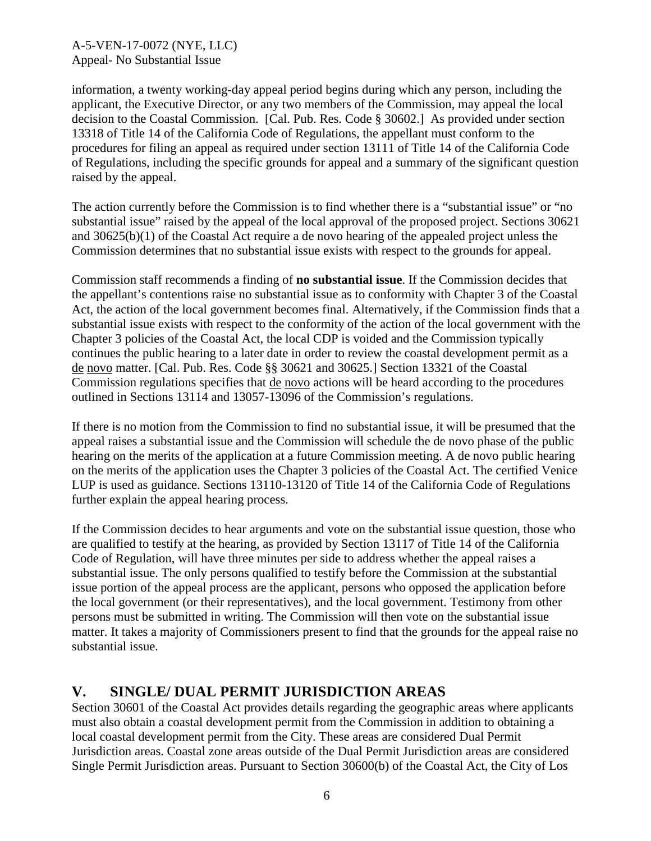information, a twenty working-day appeal period begins during which any person, including the applicant, the Executive Director, or any two members of the Commission, may appeal the local decision to the Coastal Commission. [Cal. Pub. Res. Code § 30602.] As provided under section 13318 of Title 14 of the California Code of Regulations, the appellant must conform to the procedures for filing an appeal as required under section 13111 of Title 14 of the California Code of Regulations, including the specific grounds for appeal and a summary of the significant question raised by the appeal.

The action currently before the Commission is to find whether there is a "substantial issue" or "no substantial issue" raised by the appeal of the local approval of the proposed project. Sections 30621 and 30625(b)(1) of the Coastal Act require a de novo hearing of the appealed project unless the Commission determines that no substantial issue exists with respect to the grounds for appeal.

Commission staff recommends a finding of **no substantial issue**. If the Commission decides that the appellant's contentions raise no substantial issue as to conformity with Chapter 3 of the Coastal Act, the action of the local government becomes final. Alternatively, if the Commission finds that a substantial issue exists with respect to the conformity of the action of the local government with the Chapter 3 policies of the Coastal Act, the local CDP is voided and the Commission typically continues the public hearing to a later date in order to review the coastal development permit as a de novo matter. [Cal. Pub. Res. Code §§ 30621 and 30625.] Section 13321 of the Coastal Commission regulations specifies that de novo actions will be heard according to the procedures outlined in Sections 13114 and 13057-13096 of the Commission's regulations.

If there is no motion from the Commission to find no substantial issue, it will be presumed that the appeal raises a substantial issue and the Commission will schedule the de novo phase of the public hearing on the merits of the application at a future Commission meeting. A de novo public hearing on the merits of the application uses the Chapter 3 policies of the Coastal Act. The certified Venice LUP is used as guidance. Sections 13110-13120 of Title 14 of the California Code of Regulations further explain the appeal hearing process.

If the Commission decides to hear arguments and vote on the substantial issue question, those who are qualified to testify at the hearing, as provided by Section 13117 of Title 14 of the California Code of Regulation, will have three minutes per side to address whether the appeal raises a substantial issue. The only persons qualified to testify before the Commission at the substantial issue portion of the appeal process are the applicant, persons who opposed the application before the local government (or their representatives), and the local government. Testimony from other persons must be submitted in writing. The Commission will then vote on the substantial issue matter. It takes a majority of Commissioners present to find that the grounds for the appeal raise no substantial issue.

# <span id="page-5-0"></span>**V. SINGLE/ DUAL PERMIT JURISDICTION AREAS**

Section 30601 of the Coastal Act provides details regarding the geographic areas where applicants must also obtain a coastal development permit from the Commission in addition to obtaining a local coastal development permit from the City. These areas are considered Dual Permit Jurisdiction areas. Coastal zone areas outside of the Dual Permit Jurisdiction areas are considered Single Permit Jurisdiction areas. Pursuant to Section 30600(b) of the Coastal Act, the City of Los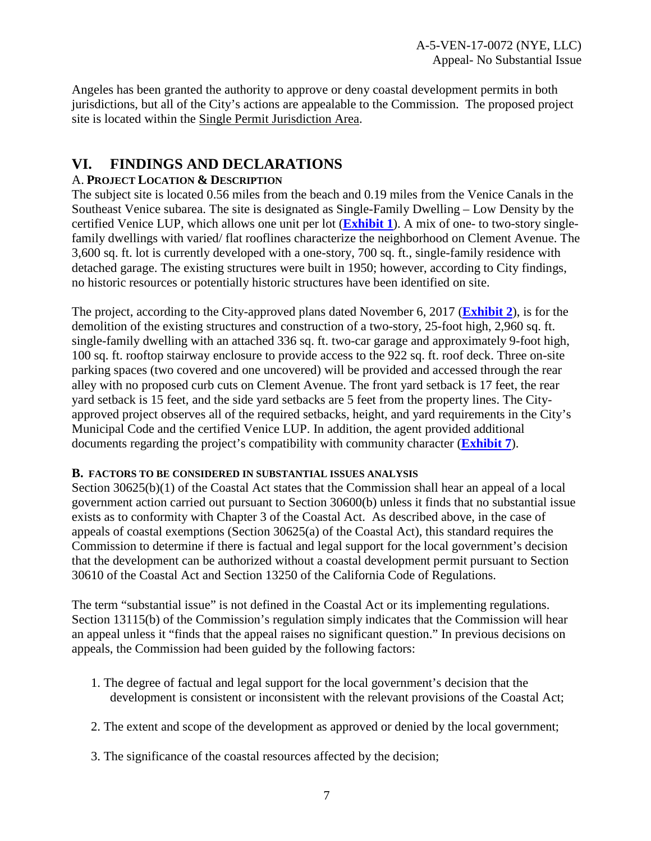Angeles has been granted the authority to approve or deny coastal development permits in both jurisdictions, but all of the City's actions are appealable to the Commission. The proposed project site is located within the Single Permit Jurisdiction Area.

# <span id="page-6-0"></span>**VI. FINDINGS AND DECLARATIONS**

#### A. **PROJECT LOCATION & DESCRIPTION**

The subject site is located 0.56 miles from the beach and 0.19 miles from the Venice Canals in the Southeast Venice subarea. The site is designated as Single-Family Dwelling – Low Density by the certified Venice LUP, which allows one unit per lot (**[Exhibit 1](https://documents.coastal.ca.gov/reports/2018/2/F13b/F13b-2-2018-exhibits.pdf)**). A mix of one- to two-story singlefamily dwellings with varied/ flat rooflines characterize the neighborhood on Clement Avenue. The 3,600 sq. ft. lot is currently developed with a one-story, 700 sq. ft., single-family residence with detached garage. The existing structures were built in 1950; however, according to City findings, no historic resources or potentially historic structures have been identified on site.

The project, according to the City-approved plans dated November 6, 2017 (**[Exhibit 2](https://documents.coastal.ca.gov/reports/2018/2/F13b/F13b-2-2018-exhibits.pdf)**), is for the demolition of the existing structures and construction of a two-story, 25-foot high, 2,960 sq. ft. single-family dwelling with an attached 336 sq. ft. two-car garage and approximately 9-foot high, 100 sq. ft. rooftop stairway enclosure to provide access to the 922 sq. ft. roof deck. Three on-site parking spaces (two covered and one uncovered) will be provided and accessed through the rear alley with no proposed curb cuts on Clement Avenue. The front yard setback is 17 feet, the rear yard setback is 15 feet, and the side yard setbacks are 5 feet from the property lines. The Cityapproved project observes all of the required setbacks, height, and yard requirements in the City's Municipal Code and the certified Venice LUP. In addition, the agent provided additional documents regarding the project's compatibility with community character (**[Exhibit 7](https://documents.coastal.ca.gov/reports/2018/2/F13b/F13b-2-2018-exhibits.pdf)**).

#### <span id="page-6-1"></span>**B. FACTORS TO BE CONSIDERED IN SUBSTANTIAL ISSUES ANALYSIS**

Section 30625(b)(1) of the Coastal Act states that the Commission shall hear an appeal of a local government action carried out pursuant to Section 30600(b) unless it finds that no substantial issue exists as to conformity with Chapter 3 of the Coastal Act. As described above, in the case of appeals of coastal exemptions (Section 30625(a) of the Coastal Act), this standard requires the Commission to determine if there is factual and legal support for the local government's decision that the development can be authorized without a coastal development permit pursuant to Section 30610 of the Coastal Act and Section 13250 of the California Code of Regulations.

The term "substantial issue" is not defined in the Coastal Act or its implementing regulations. Section 13115(b) of the Commission's regulation simply indicates that the Commission will hear an appeal unless it "finds that the appeal raises no significant question." In previous decisions on appeals, the Commission had been guided by the following factors:

- 1. The degree of factual and legal support for the local government's decision that the development is consistent or inconsistent with the relevant provisions of the Coastal Act;
- 2. The extent and scope of the development as approved or denied by the local government;
- 3. The significance of the coastal resources affected by the decision;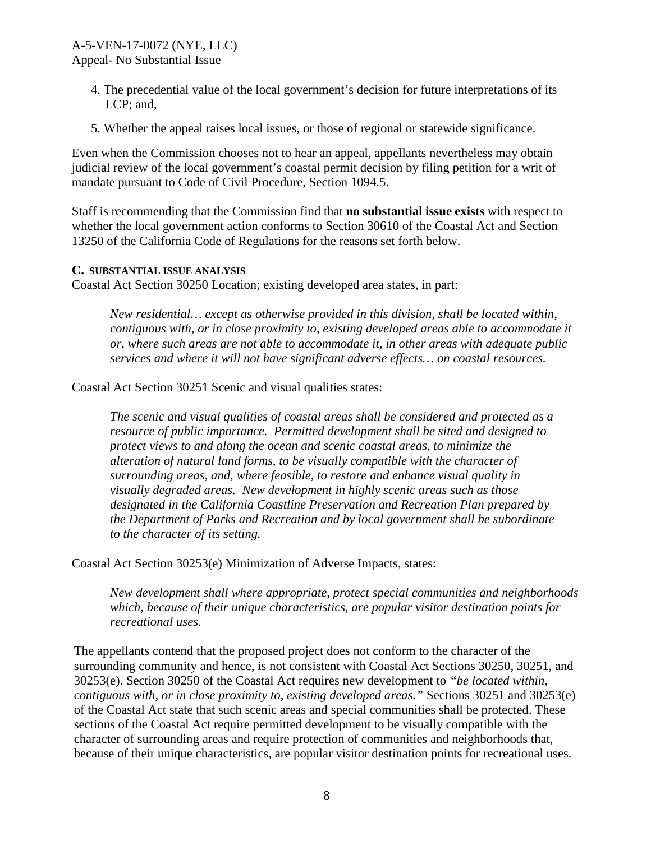# A-5-VEN-17-0072 (NYE, LLC)

Appeal- No Substantial Issue

- 4. The precedential value of the local government's decision for future interpretations of its LCP; and,
- 5. Whether the appeal raises local issues, or those of regional or statewide significance.

Even when the Commission chooses not to hear an appeal, appellants nevertheless may obtain judicial review of the local government's coastal permit decision by filing petition for a writ of mandate pursuant to Code of Civil Procedure, Section 1094.5.

Staff is recommending that the Commission find that **no substantial issue exists** with respect to whether the local government action conforms to Section 30610 of the Coastal Act and Section 13250 of the California Code of Regulations for the reasons set forth below.

#### <span id="page-7-0"></span>**C. SUBSTANTIAL ISSUE ANALYSIS**

Coastal Act Section 30250 Location; existing developed area states, in part:

*New residential… except as otherwise provided in this division, shall be located within, contiguous with, or in close proximity to, existing developed areas able to accommodate it or, where such areas are not able to accommodate it, in other areas with adequate public services and where it will not have significant adverse effects… on coastal resources.* 

Coastal Act Section 30251 Scenic and visual qualities states:

*The scenic and visual qualities of coastal areas shall be considered and protected as a resource of public importance. Permitted development shall be sited and designed to protect views to and along the ocean and scenic coastal areas, to minimize the alteration of natural land forms, to be visually compatible with the character of surrounding areas, and, where feasible, to restore and enhance visual quality in visually degraded areas. New development in highly scenic areas such as those designated in the California Coastline Preservation and Recreation Plan prepared by the Department of Parks and Recreation and by local government shall be subordinate to the character of its setting.* 

Coastal Act Section 30253(e) Minimization of Adverse Impacts, states:

*New development shall where appropriate, protect special communities and neighborhoods which, because of their unique characteristics, are popular visitor destination points for recreational uses.* 

The appellants contend that the proposed project does not conform to the character of the surrounding community and hence, is not consistent with Coastal Act Sections 30250, 30251, and 30253(e). Section 30250 of the Coastal Act requires new development to *"be located within, contiguous with, or in close proximity to, existing developed areas."* Sections 30251 and 30253(e) of the Coastal Act state that such scenic areas and special communities shall be protected. These sections of the Coastal Act require permitted development to be visually compatible with the character of surrounding areas and require protection of communities and neighborhoods that, because of their unique characteristics, are popular visitor destination points for recreational uses.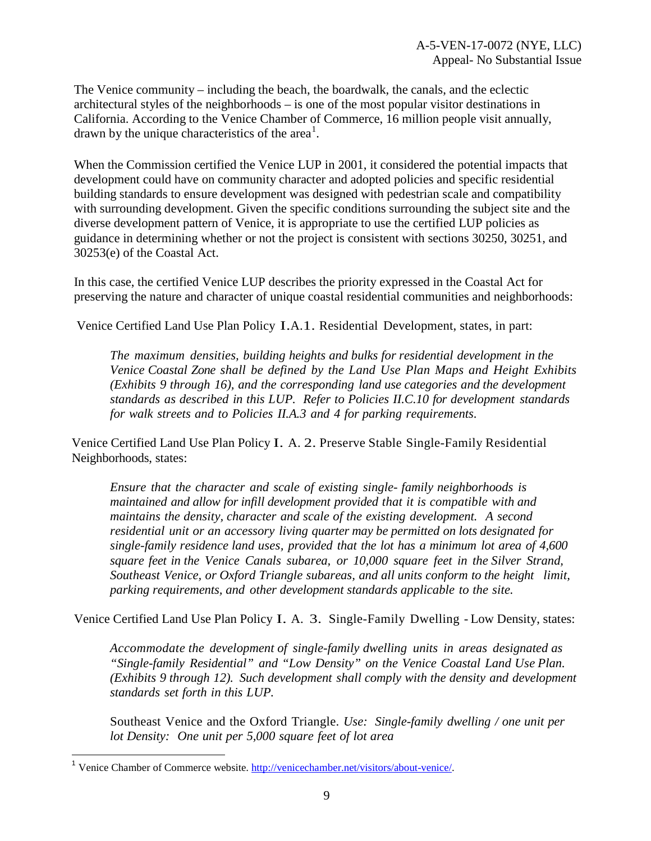The Venice community – including the beach, the boardwalk, the canals, and the eclectic architectural styles of the neighborhoods – is one of the most popular visitor destinations in California. According to the Venice Chamber of Commerce, 16 million people visit annually, drawn by the unique characteristics of the area<sup>[1](#page-8-0)</sup>.

When the Commission certified the Venice LUP in 2001, it considered the potential impacts that development could have on community character and adopted policies and specific residential building standards to ensure development was designed with pedestrian scale and compatibility with surrounding development. Given the specific conditions surrounding the subject site and the diverse development pattern of Venice, it is appropriate to use the certified LUP policies as guidance in determining whether or not the project is consistent with sections 30250, 30251, and 30253(e) of the Coastal Act.

In this case, the certified Venice LUP describes the priority expressed in the Coastal Act for preserving the nature and character of unique coastal residential communities and neighborhoods:

Venice Certified Land Use Plan Policy I.A.1. Residential Development, states, in part:

*The maximum densities, building heights and bulks for residential development in the Venice Coastal Zone shall be defined by the Land Use Plan Maps and Height Exhibits (Exhibits 9 through 16), and the corresponding land use categories and the development standards as described in this LUP. Refer to Policies II.C.10 for development standards for walk streets and to Policies II.A.3 and 4 for parking requirements.* 

Venice Certified Land Use Plan Policy I. A. 2. Preserve Stable Single-Family Residential Neighborhoods, states:

*Ensure that the character and scale of existing single- family neighborhoods is maintained and allow for infill development provided that it is compatible with and maintains the density, character and scale of the existing development. A second residential unit or an accessory living quarter may be permitted on lots designated for single-family residence land uses, provided that the lot has a minimum lot area of 4,600 square feet in the Venice Canals subarea, or 10,000 square feet in the Silver Strand, Southeast Venice, or Oxford Triangle subareas, and all units conform to the height limit, parking requirements, and other development standards applicable to the site.*

Venice Certified Land Use Plan Policy I. A. 3. Single-Family Dwelling - Low Density, states:

*Accommodate the development of single-family dwelling units in areas designated as "Single-family Residential" and "Low Density" on the Venice Coastal Land Use Plan. (Exhibits 9 through 12). Such development shall comply with the density and development standards set forth in this LUP.*

Southeast Venice and the Oxford Triangle. *Use: Single-family dwelling / one unit per lot Density: One unit per 5,000 square feet of lot area*

 $\overline{\phantom{a}}$ 

<span id="page-8-0"></span><sup>&</sup>lt;sup>1</sup> Venice Chamber of Commerce website. [http://venicechamber.net/visitors/about-venice/.](http://venicechamber.net/visitors/about-venice/)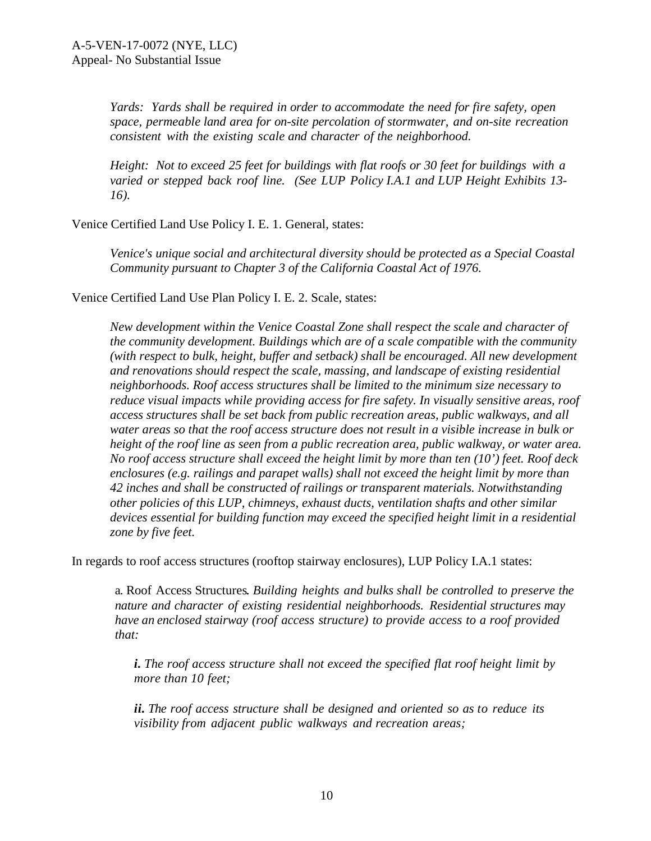*Yards: Yards shall be required in order to accommodate the need for fire safety, open space, permeable land area for on-site percolation of stormwater, and on-site recreation consistent with the existing scale and character of the neighborhood.* 

*Height: Not to exceed 25 feet for buildings with flat roofs or 30 feet for buildings with a varied or stepped back roof line. (See LUP Policy I.A.1 and LUP Height Exhibits 13- 16).*

Venice Certified Land Use Policy I. E. 1. General, states:

*Venice's unique social and architectural diversity should be protected as a Special Coastal Community pursuant to Chapter 3 of the California Coastal Act of 1976.* 

Venice Certified Land Use Plan Policy I. E. 2. Scale, states:

*New development within the Venice Coastal Zone shall respect the scale and character of the community development. Buildings which are of a scale compatible with the community (with respect to bulk, height, buffer and setback) shall be encouraged. All new development and renovations should respect the scale, massing, and landscape of existing residential neighborhoods. Roof access structures shall be limited to the minimum size necessary to reduce visual impacts while providing access for fire safety. In visually sensitive areas, roof access structures shall be set back from public recreation areas, public walkways, and all water areas so that the roof access structure does not result in a visible increase in bulk or height of the roof line as seen from a public recreation area, public walkway, or water area. No roof access structure shall exceed the height limit by more than ten (10') feet. Roof deck enclosures (e.g. railings and parapet walls) shall not exceed the height limit by more than 42 inches and shall be constructed of railings or transparent materials. Notwithstanding other policies of this LUP, chimneys, exhaust ducts, ventilation shafts and other similar devices essential for building function may exceed the specified height limit in a residential zone by five feet.*

In regards to roof access structures (rooftop stairway enclosures), LUP Policy I.A.1 states:

a. Roof Access Structures. *Building heights and bulks shall be controlled to preserve the nature and character of existing residential neighborhoods. Residential structures may have an enclosed stairway (roof access structure) to provide access to a roof provided that:* 

*i. The roof access structure shall not exceed the specified flat roof height limit by more than 10 feet;*

*ii. The roof access structure shall be designed and oriented so as to reduce its visibility from adjacent public walkways and recreation areas;*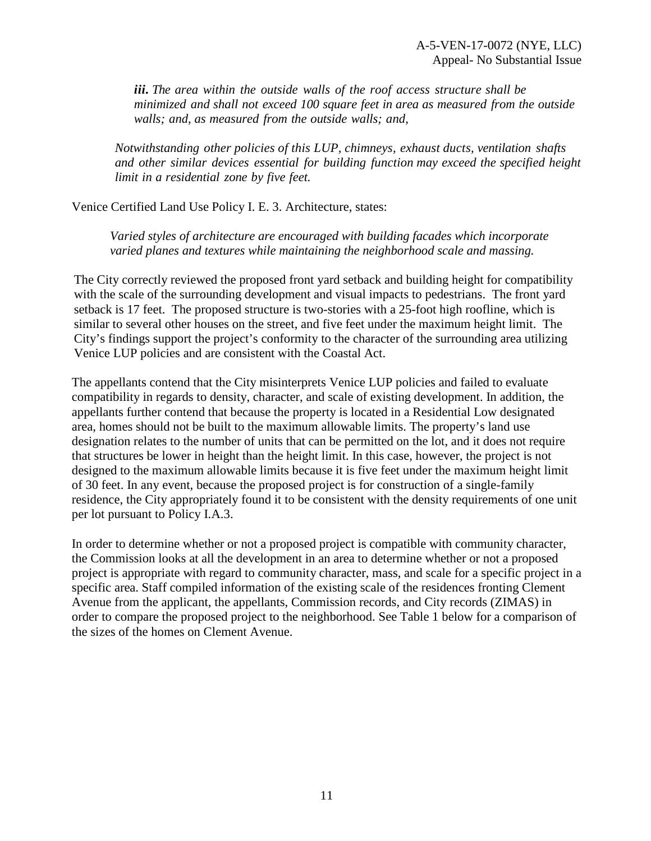*iii. The area within the outside walls of the roof access structure shall be minimized and shall not exceed 100 square feet in area as measured from the outside walls; and, as measured from the outside walls; and,* 

*Notwithstanding other policies of this LUP, chimneys, exhaust ducts, ventilation shafts and other similar devices essential for building function may exceed the specified height limit in a residential zone by five feet.*

Venice Certified Land Use Policy I. E. 3. Architecture, states:

*Varied styles of architecture are encouraged with building facades which incorporate varied planes and textures while maintaining the neighborhood scale and massing.* 

The City correctly reviewed the proposed front yard setback and building height for compatibility with the scale of the surrounding development and visual impacts to pedestrians. The front yard setback is 17 feet. The proposed structure is two-stories with a 25-foot high roofline, which is similar to several other houses on the street, and five feet under the maximum height limit. The City's findings support the project's conformity to the character of the surrounding area utilizing Venice LUP policies and are consistent with the Coastal Act.

The appellants contend that the City misinterprets Venice LUP policies and failed to evaluate compatibility in regards to density, character, and scale of existing development. In addition, the appellants further contend that because the property is located in a Residential Low designated area, homes should not be built to the maximum allowable limits. The property's land use designation relates to the number of units that can be permitted on the lot, and it does not require that structures be lower in height than the height limit. In this case, however, the project is not designed to the maximum allowable limits because it is five feet under the maximum height limit of 30 feet. In any event, because the proposed project is for construction of a single-family residence, the City appropriately found it to be consistent with the density requirements of one unit per lot pursuant to Policy I.A.3.

In order to determine whether or not a proposed project is compatible with community character, the Commission looks at all the development in an area to determine whether or not a proposed project is appropriate with regard to community character, mass, and scale for a specific project in a specific area. Staff compiled information of the existing scale of the residences fronting Clement Avenue from the applicant, the appellants, Commission records, and City records (ZIMAS) in order to compare the proposed project to the neighborhood. See Table 1 below for a comparison of the sizes of the homes on Clement Avenue.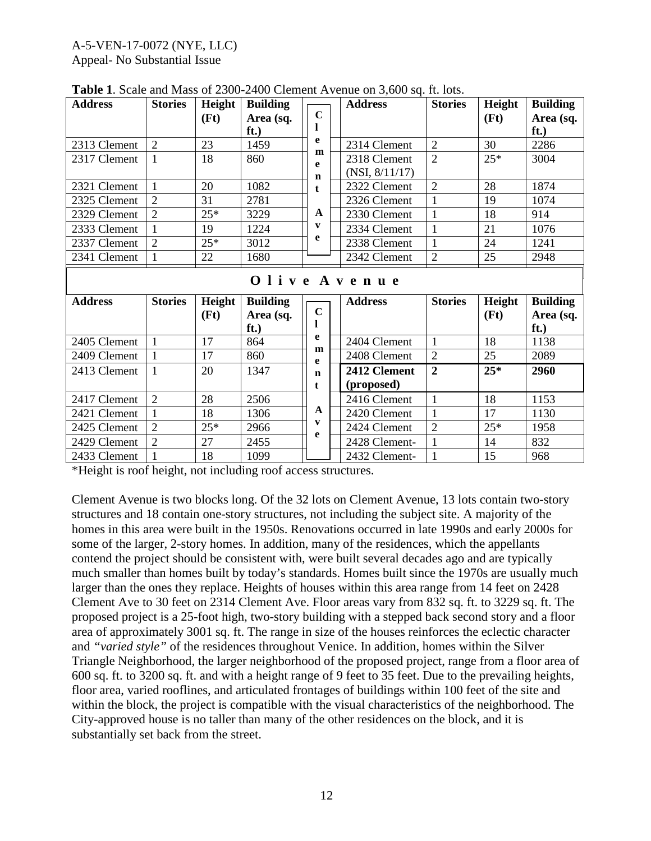#### A-5-VEN-17-0072 (NYE, LLC)

Appeal- No Substantial Issue

| <b>Address</b> | <b>Stories</b> | Height | <b>Building</b> |             |  | <b>Address</b> | <b>Stories</b> | Height | <b>Building</b> |  |  |
|----------------|----------------|--------|-----------------|-------------|--|----------------|----------------|--------|-----------------|--|--|
|                |                | (Ft)   | Area (sq.       | $\mathbf C$ |  |                |                | (Ft)   | Area (sq.       |  |  |
|                |                |        | ft.)            | e           |  |                |                |        | ft.)            |  |  |
| 2313 Clement   | $\overline{2}$ | 23     | 1459            | m           |  | 2314 Clement   | $\overline{2}$ | 30     | 2286            |  |  |
| 2317 Clement   | $\mathbf{1}$   | 18     | 860             | e           |  | 2318 Clement   | $\overline{2}$ | $25*$  | 3004            |  |  |
|                |                |        |                 | $\mathbf n$ |  | (NSI, 8/11/17) |                |        |                 |  |  |
| 2321 Clement   | $\mathbf{1}$   | 20     | 1082            | t.          |  | 2322 Clement   | $\overline{2}$ | 28     | 1874            |  |  |
| 2325 Clement   | $\overline{2}$ | 31     | 2781            |             |  | 2326 Clement   | 1              | 19     | 1074            |  |  |
| 2329 Clement   | $\overline{2}$ | $25*$  | 3229            | A           |  | 2330 Clement   | 1              | 18     | 914             |  |  |
| 2333 Clement   |                | 19     | 1224            | V           |  | 2334 Clement   | 1              | 21     | 1076            |  |  |
| 2337 Clement   | $\overline{2}$ | $25*$  | 3012            | е           |  | 2338 Clement   | $\mathbf{1}$   | 24     | 1241            |  |  |
| 2341 Clement   | 1              | 22     | 1680            |             |  | 2342 Clement   | $\overline{2}$ | 25     | 2948            |  |  |
| Olive Avenue   |                |        |                 |             |  |                |                |        |                 |  |  |
|                |                |        |                 |             |  |                |                |        |                 |  |  |
| <b>Address</b> | <b>Stories</b> | Height | <b>Building</b> |             |  | <b>Address</b> | <b>Stories</b> | Height | <b>Building</b> |  |  |
|                |                | (Ft)   | Area (sq.       | $\mathbf C$ |  |                |                | (Ft)   | Area (sq.       |  |  |
|                |                |        | ft.)            |             |  |                |                |        | ft.)            |  |  |
| 2405 Clement   | $\mathbf{1}$   | 17     | 864             | e           |  | 2404 Clement   | $\mathbf{1}$   | 18     | 1138            |  |  |
| 2409 Clement   |                | 17     | 860             | m           |  | 2408 Clement   | $\overline{2}$ | 25     | 2089            |  |  |
| 2413 Clement   | $\mathbf{1}$   | 20     | 1347            | e<br>n      |  | 2412 Clement   | $\overline{2}$ | $25*$  | 2960            |  |  |
|                |                |        |                 | t.          |  | (proposed)     |                |        |                 |  |  |
| 2417 Clement   | $\overline{2}$ | 28     | 2506            |             |  | 2416 Clement   | $\mathbf{1}$   | 18     | 1153            |  |  |
| 2421 Clement   | 1              | 18     | 1306            | A           |  | 2420 Clement   | 1              | 17     | 1130            |  |  |
| 2425 Clement   | $\overline{2}$ | $25*$  | 2966            | V           |  | 2424 Clement   | $\overline{2}$ | $25*$  | 1958            |  |  |
| 2429 Clement   | $\overline{2}$ | 27     | 2455            | e           |  | 2428 Clement-  | 1              | 14     | 832             |  |  |

**Table 1**. Scale and Mass of 2300-2400 Clement Avenue on 3,600 sq. ft. lots.

\*Height is roof height, not including roof access structures.

Clement Avenue is two blocks long. Of the 32 lots on Clement Avenue, 13 lots contain two-story structures and 18 contain one-story structures, not including the subject site. A majority of the homes in this area were built in the 1950s. Renovations occurred in late 1990s and early 2000s for some of the larger, 2-story homes. In addition, many of the residences, which the appellants contend the project should be consistent with, were built several decades ago and are typically much smaller than homes built by today's standards. Homes built since the 1970s are usually much larger than the ones they replace. Heights of houses within this area range from 14 feet on 2428 Clement Ave to 30 feet on 2314 Clement Ave. Floor areas vary from 832 sq. ft. to 3229 sq. ft. The proposed project is a 25-foot high, two-story building with a stepped back second story and a floor area of approximately 3001 sq. ft. The range in size of the houses reinforces the eclectic character and *"varied style"* of the residences throughout Venice. In addition, homes within the Silver Triangle Neighborhood, the larger neighborhood of the proposed project, range from a floor area of 600 sq. ft. to 3200 sq. ft. and with a height range of 9 feet to 35 feet. Due to the prevailing heights, floor area, varied rooflines, and articulated frontages of buildings within 100 feet of the site and within the block, the project is compatible with the visual characteristics of the neighborhood. The City-approved house is no taller than many of the other residences on the block, and it is substantially set back from the street.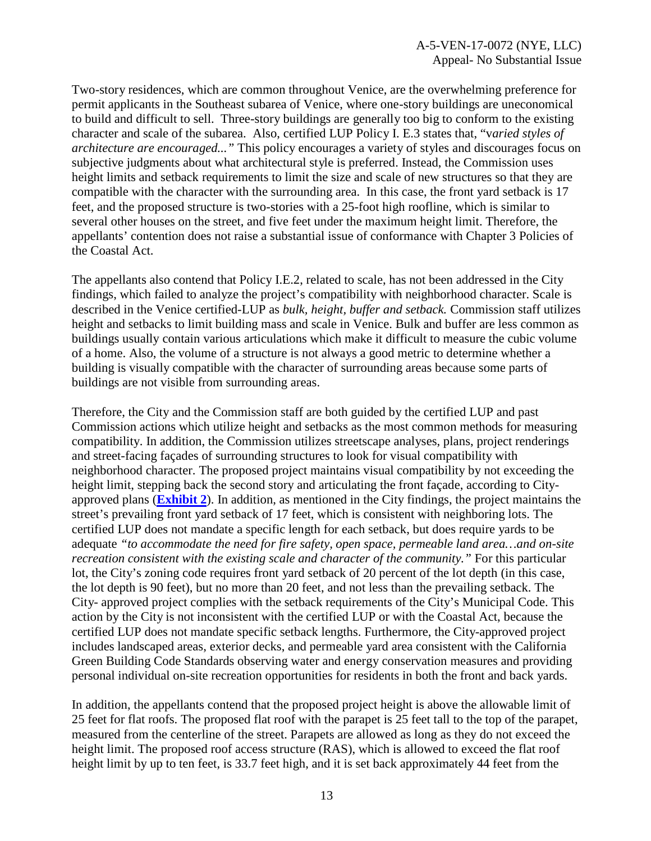Two-story residences, which are common throughout Venice, are the overwhelming preference for permit applicants in the Southeast subarea of Venice, where one-story buildings are uneconomical to build and difficult to sell. Three-story buildings are generally too big to conform to the existing character and scale of the subarea. Also, certified LUP Policy I. E.3 states that, "v*aried styles of architecture are encouraged..."* This policy encourages a variety of styles and discourages focus on subjective judgments about what architectural style is preferred. Instead, the Commission uses height limits and setback requirements to limit the size and scale of new structures so that they are compatible with the character with the surrounding area. In this case, the front yard setback is 17 feet, and the proposed structure is two-stories with a 25-foot high roofline, which is similar to several other houses on the street, and five feet under the maximum height limit. Therefore, the appellants' contention does not raise a substantial issue of conformance with Chapter 3 Policies of the Coastal Act.

The appellants also contend that Policy I.E.2, related to scale, has not been addressed in the City findings, which failed to analyze the project's compatibility with neighborhood character. Scale is described in the Venice certified-LUP as *bulk, height, buffer and setback.* Commission staff utilizes height and setbacks to limit building mass and scale in Venice. Bulk and buffer are less common as buildings usually contain various articulations which make it difficult to measure the cubic volume of a home. Also, the volume of a structure is not always a good metric to determine whether a building is visually compatible with the character of surrounding areas because some parts of buildings are not visible from surrounding areas.

Therefore, the City and the Commission staff are both guided by the certified LUP and past Commission actions which utilize height and setbacks as the most common methods for measuring compatibility. In addition, the Commission utilizes streetscape analyses, plans, project renderings and street-facing façades of surrounding structures to look for visual compatibility with neighborhood character. The proposed project maintains visual compatibility by not exceeding the height limit, stepping back the second story and articulating the front façade, according to Cityapproved plans (**[Exhibit 2](https://documents.coastal.ca.gov/reports/2018/2/F13b/F13b-2-2018-exhibits.pdf)**). In addition, as mentioned in the City findings, the project maintains the street's prevailing front yard setback of 17 feet, which is consistent with neighboring lots. The certified LUP does not mandate a specific length for each setback, but does require yards to be adequate *"to accommodate the need for fire safety, open space, permeable land area…and on-site recreation consistent with the existing scale and character of the community."* For this particular lot, the City's zoning code requires front yard setback of 20 percent of the lot depth (in this case, the lot depth is 90 feet), but no more than 20 feet, and not less than the prevailing setback. The City- approved project complies with the setback requirements of the City's Municipal Code. This action by the City is not inconsistent with the certified LUP or with the Coastal Act, because the certified LUP does not mandate specific setback lengths. Furthermore, the City-approved project includes landscaped areas, exterior decks, and permeable yard area consistent with the California Green Building Code Standards observing water and energy conservation measures and providing personal individual on-site recreation opportunities for residents in both the front and back yards.

In addition, the appellants contend that the proposed project height is above the allowable limit of 25 feet for flat roofs. The proposed flat roof with the parapet is 25 feet tall to the top of the parapet, measured from the centerline of the street. Parapets are allowed as long as they do not exceed the height limit. The proposed roof access structure (RAS), which is allowed to exceed the flat roof height limit by up to ten feet, is 33.7 feet high, and it is set back approximately 44 feet from the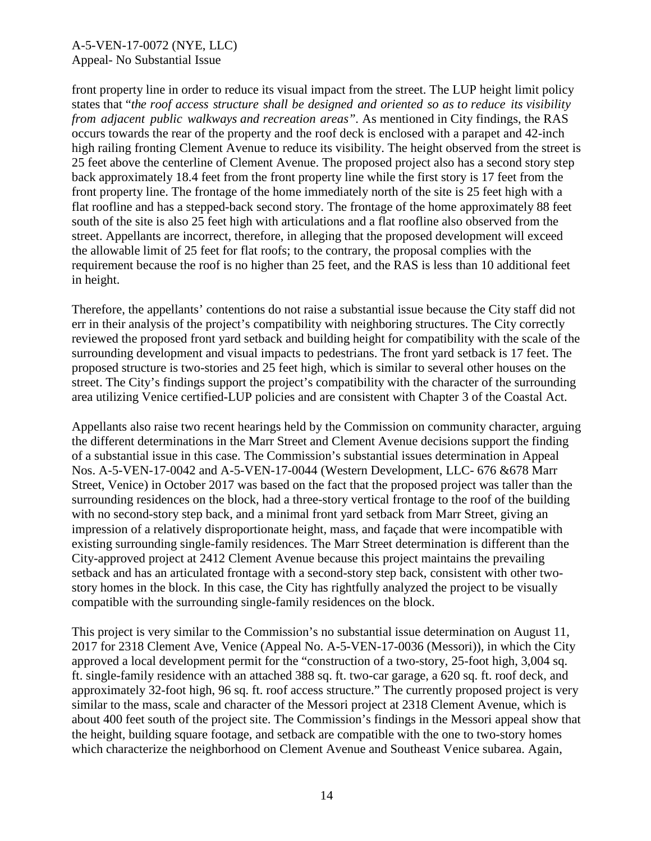front property line in order to reduce its visual impact from the street. The LUP height limit policy states that "*the roof access structure shall be designed and oriented so as to reduce its visibility from adjacent public walkways and recreation areas".* As mentioned in City findings, the RAS occurs towards the rear of the property and the roof deck is enclosed with a parapet and 42-inch high railing fronting Clement Avenue to reduce its visibility. The height observed from the street is 25 feet above the centerline of Clement Avenue. The proposed project also has a second story step back approximately 18.4 feet from the front property line while the first story is 17 feet from the front property line. The frontage of the home immediately north of the site is 25 feet high with a flat roofline and has a stepped-back second story. The frontage of the home approximately 88 feet south of the site is also 25 feet high with articulations and a flat roofline also observed from the street. Appellants are incorrect, therefore, in alleging that the proposed development will exceed the allowable limit of 25 feet for flat roofs; to the contrary, the proposal complies with the requirement because the roof is no higher than 25 feet, and the RAS is less than 10 additional feet in height.

Therefore, the appellants' contentions do not raise a substantial issue because the City staff did not err in their analysis of the project's compatibility with neighboring structures. The City correctly reviewed the proposed front yard setback and building height for compatibility with the scale of the surrounding development and visual impacts to pedestrians. The front yard setback is 17 feet. The proposed structure is two-stories and 25 feet high, which is similar to several other houses on the street. The City's findings support the project's compatibility with the character of the surrounding area utilizing Venice certified-LUP policies and are consistent with Chapter 3 of the Coastal Act.

Appellants also raise two recent hearings held by the Commission on community character, arguing the different determinations in the Marr Street and Clement Avenue decisions support the finding of a substantial issue in this case. The Commission's substantial issues determination in Appeal Nos. A-5-VEN-17-0042 and A-5-VEN-17-0044 (Western Development, LLC- 676 &678 Marr Street, Venice) in October 2017 was based on the fact that the proposed project was taller than the surrounding residences on the block, had a three-story vertical frontage to the roof of the building with no second-story step back, and a minimal front yard setback from Marr Street, giving an impression of a relatively disproportionate height, mass, and façade that were incompatible with existing surrounding single-family residences. The Marr Street determination is different than the City-approved project at 2412 Clement Avenue because this project maintains the prevailing setback and has an articulated frontage with a second-story step back, consistent with other twostory homes in the block. In this case, the City has rightfully analyzed the project to be visually compatible with the surrounding single-family residences on the block.

This project is very similar to the Commission's no substantial issue determination on August 11, 2017 for 2318 Clement Ave, Venice (Appeal No. A-5-VEN-17-0036 (Messori)), in which the City approved a local development permit for the "construction of a two-story, 25-foot high, 3,004 sq. ft. single-family residence with an attached 388 sq. ft. two-car garage, a 620 sq. ft. roof deck, and approximately 32-foot high, 96 sq. ft. roof access structure." The currently proposed project is very similar to the mass, scale and character of the Messori project at 2318 Clement Avenue, which is about 400 feet south of the project site. The Commission's findings in the Messori appeal show that the height, building square footage, and setback are compatible with the one to two-story homes which characterize the neighborhood on Clement Avenue and Southeast Venice subarea. Again,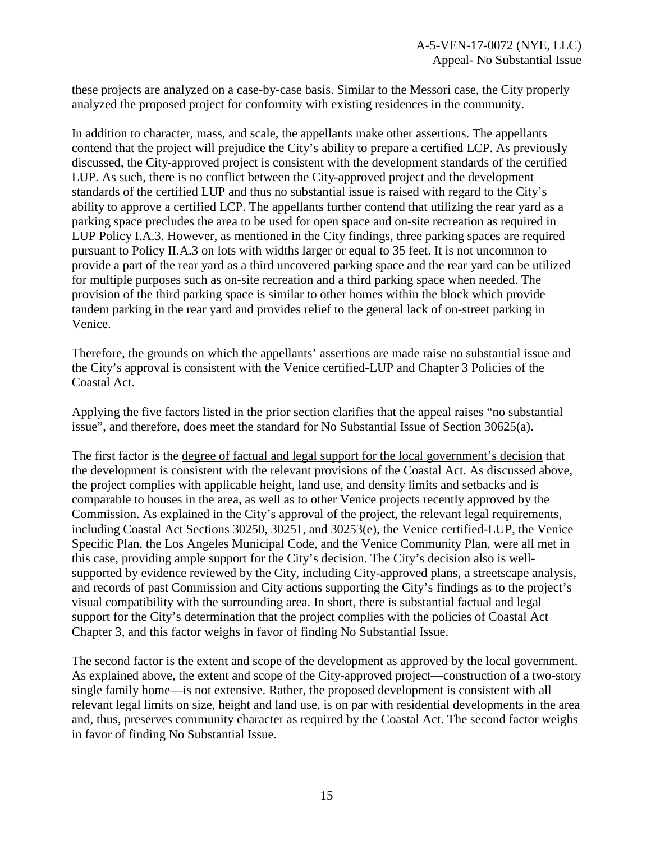these projects are analyzed on a case-by-case basis. Similar to the Messori case, the City properly analyzed the proposed project for conformity with existing residences in the community.

In addition to character, mass, and scale, the appellants make other assertions. The appellants contend that the project will prejudice the City's ability to prepare a certified LCP. As previously discussed, the City-approved project is consistent with the development standards of the certified LUP. As such, there is no conflict between the City-approved project and the development standards of the certified LUP and thus no substantial issue is raised with regard to the City's ability to approve a certified LCP. The appellants further contend that utilizing the rear yard as a parking space precludes the area to be used for open space and on-site recreation as required in LUP Policy I.A.3. However, as mentioned in the City findings, three parking spaces are required pursuant to Policy II.A.3 on lots with widths larger or equal to 35 feet. It is not uncommon to provide a part of the rear yard as a third uncovered parking space and the rear yard can be utilized for multiple purposes such as on-site recreation and a third parking space when needed. The provision of the third parking space is similar to other homes within the block which provide tandem parking in the rear yard and provides relief to the general lack of on-street parking in Venice.

Therefore, the grounds on which the appellants' assertions are made raise no substantial issue and the City's approval is consistent with the Venice certified-LUP and Chapter 3 Policies of the Coastal Act.

Applying the five factors listed in the prior section clarifies that the appeal raises "no substantial issue", and therefore, does meet the standard for No Substantial Issue of Section 30625(a).

The first factor is the degree of factual and legal support for the local government's decision that the development is consistent with the relevant provisions of the Coastal Act. As discussed above, the project complies with applicable height, land use, and density limits and setbacks and is comparable to houses in the area, as well as to other Venice projects recently approved by the Commission. As explained in the City's approval of the project, the relevant legal requirements, including Coastal Act Sections 30250, 30251, and 30253(e), the Venice certified-LUP, the Venice Specific Plan, the Los Angeles Municipal Code, and the Venice Community Plan, were all met in this case, providing ample support for the City's decision. The City's decision also is wellsupported by evidence reviewed by the City, including City-approved plans, a streetscape analysis, and records of past Commission and City actions supporting the City's findings as to the project's visual compatibility with the surrounding area. In short, there is substantial factual and legal support for the City's determination that the project complies with the policies of Coastal Act Chapter 3, and this factor weighs in favor of finding No Substantial Issue.

The second factor is the extent and scope of the development as approved by the local government. As explained above, the extent and scope of the City-approved project—construction of a two-story single family home—is not extensive. Rather, the proposed development is consistent with all relevant legal limits on size, height and land use, is on par with residential developments in the area and, thus, preserves community character as required by the Coastal Act. The second factor weighs in favor of finding No Substantial Issue.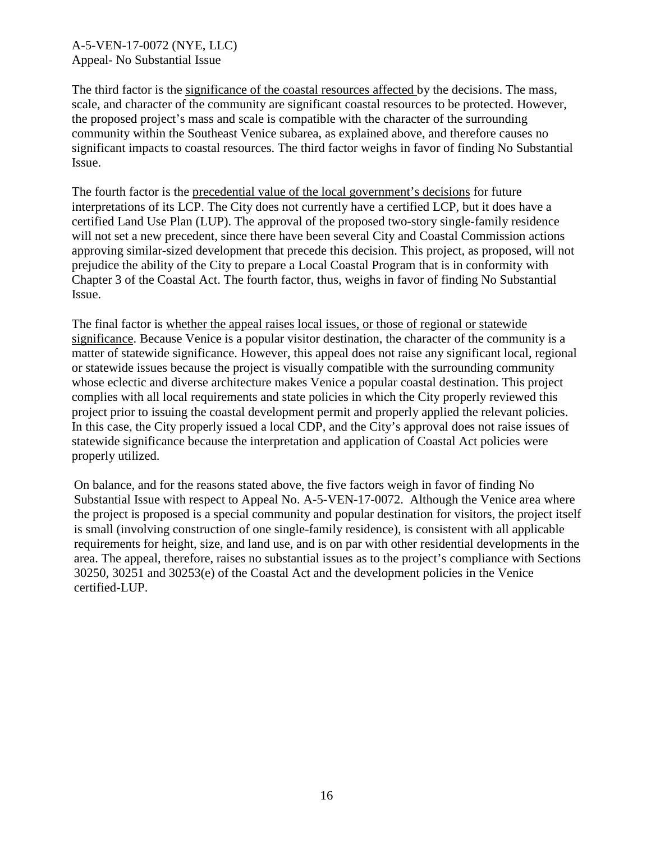The third factor is the significance of the coastal resources affected by the decisions. The mass, scale, and character of the community are significant coastal resources to be protected. However, the proposed project's mass and scale is compatible with the character of the surrounding community within the Southeast Venice subarea, as explained above, and therefore causes no significant impacts to coastal resources. The third factor weighs in favor of finding No Substantial Issue.

The fourth factor is the precedential value of the local government's decisions for future interpretations of its LCP. The City does not currently have a certified LCP, but it does have a certified Land Use Plan (LUP). The approval of the proposed two-story single-family residence will not set a new precedent, since there have been several City and Coastal Commission actions approving similar-sized development that precede this decision. This project, as proposed, will not prejudice the ability of the City to prepare a Local Coastal Program that is in conformity with Chapter 3 of the Coastal Act. The fourth factor, thus, weighs in favor of finding No Substantial Issue.

The final factor is whether the appeal raises local issues, or those of regional or statewide significance. Because Venice is a popular visitor destination, the character of the community is a matter of statewide significance. However, this appeal does not raise any significant local, regional or statewide issues because the project is visually compatible with the surrounding community whose eclectic and diverse architecture makes Venice a popular coastal destination. This project complies with all local requirements and state policies in which the City properly reviewed this project prior to issuing the coastal development permit and properly applied the relevant policies. In this case, the City properly issued a local CDP, and the City's approval does not raise issues of statewide significance because the interpretation and application of Coastal Act policies were properly utilized.

On balance, and for the reasons stated above, the five factors weigh in favor of finding No Substantial Issue with respect to Appeal No. A-5-VEN-17-0072. Although the Venice area where the project is proposed is a special community and popular destination for visitors, the project itself is small (involving construction of one single-family residence), is consistent with all applicable requirements for height, size, and land use, and is on par with other residential developments in the area. The appeal, therefore, raises no substantial issues as to the project's compliance with Sections 30250, 30251 and 30253(e) of the Coastal Act and the development policies in the Venice certified-LUP.